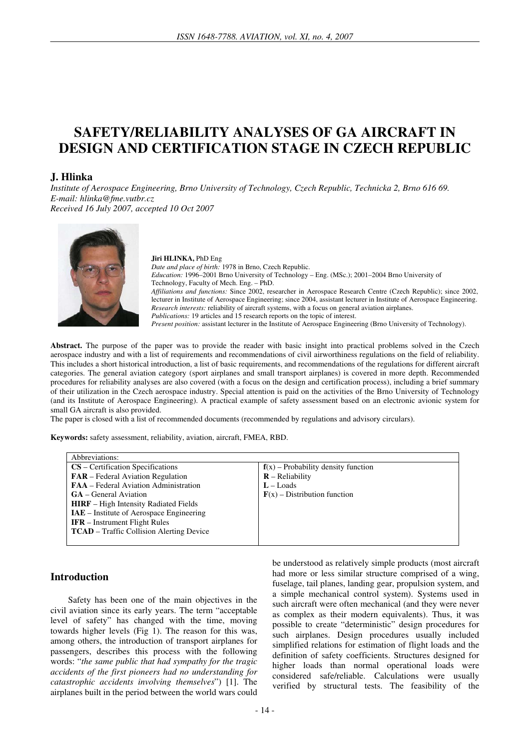# **SAFETY/RELIABILITY ANALYSES OF GA AIRCRAFT IN DESIGN AND CERTIFICATION STAGE IN CZECH REPUBLIC**

# **J. Hlinka**

*Institute of Aerospace Engineering, Brno University of Technology, Czech Republic, Technicka 2, Brno 616 69. E-mail: hlinka@fme.vutbr.cz Received 16 July 2007, accepted 10 Oct 2007* 



#### **Jiri HLINKA,** PhD Eng

*Date and place of birth:* 1978 in Brno, Czech Republic. *Education:* 1996–2001 Brno University of Technology – Eng. (MSc.); 2001–2004 Brno University of Technology, Faculty of Mech. Eng. – PhD. *Affiliations and functions:* Since 2002, researcher in Aerospace Research Centre (Czech Republic); since 2002, lecturer in Institute of Aerospace Engineering; since 2004, assistant lecturer in Institute of Aerospace Engineering. *Research interests:* reliability of aircraft systems, with a focus on general aviation airplanes. *Publications:* 19 articles and 15 research reports on the topic of interest.

*Present position:* assistant lecturer in the Institute of Aerospace Engineering (Brno University of Technology).

**Abstract.** The purpose of the paper was to provide the reader with basic insight into practical problems solved in the Czech aerospace industry and with a list of requirements and recommendations of civil airworthiness regulations on the field of reliability. This includes a short historical introduction, a list of basic requirements, and recommendations of the regulations for different aircraft categories. The general aviation category (sport airplanes and small transport airplanes) is covered in more depth. Recommended procedures for reliability analyses are also covered (with a focus on the design and certification process), including a brief summary of their utilization in the Czech aerospace industry. Special attention is paid on the activities of the Brno University of Technology (and its Institute of Aerospace Engineering). A practical example of safety assessment based on an electronic avionic system for small GA aircraft is also provided.

The paper is closed with a list of recommended documents (recommended by regulations and advisory circulars).

**Keywords:** safety assessment, reliability, aviation, aircraft, FMEA, RBD.

| Abbreviations:                                  |                                       |
|-------------------------------------------------|---------------------------------------|
| $CS$ – Certification Specifications             | $f(x)$ – Probability density function |
| <b>FAR</b> – Federal Aviation Regulation        | $R$ – Reliability                     |
| <b>FAA</b> – Federal Aviation Administration    | $L -$ Loads                           |
| <b>GA</b> – General Aviation                    | $F(x)$ – Distribution function        |
| <b>HIRF</b> – High Intensity Radiated Fields    |                                       |
| <b>IAE</b> – Institute of Aerospace Engineering |                                       |
| <b>IFR</b> – Instrument Flight Rules            |                                       |
| <b>TCAD</b> – Traffic Collision Alerting Device |                                       |
|                                                 |                                       |

#### **Introduction**

Safety has been one of the main objectives in the civil aviation since its early years. The term "acceptable level of safety" has changed with the time, moving towards higher levels (Fig 1). The reason for this was, among others, the introduction of transport airplanes for passengers, describes this process with the following words: "*the same public that had sympathy for the tragic accidents of the first pioneers had no understanding for catastrophic accidents involving themselves*") [1]. The airplanes built in the period between the world wars could be understood as relatively simple products (most aircraft had more or less similar structure comprised of a wing, fuselage, tail planes, landing gear, propulsion system, and a simple mechanical control system). Systems used in such aircraft were often mechanical (and they were never as complex as their modern equivalents). Thus, it was possible to create "deterministic" design procedures for such airplanes. Design procedures usually included simplified relations for estimation of flight loads and the definition of safety coefficients. Structures designed for higher loads than normal operational loads were considered safe/reliable. Calculations were usually verified by structural tests. The feasibility of the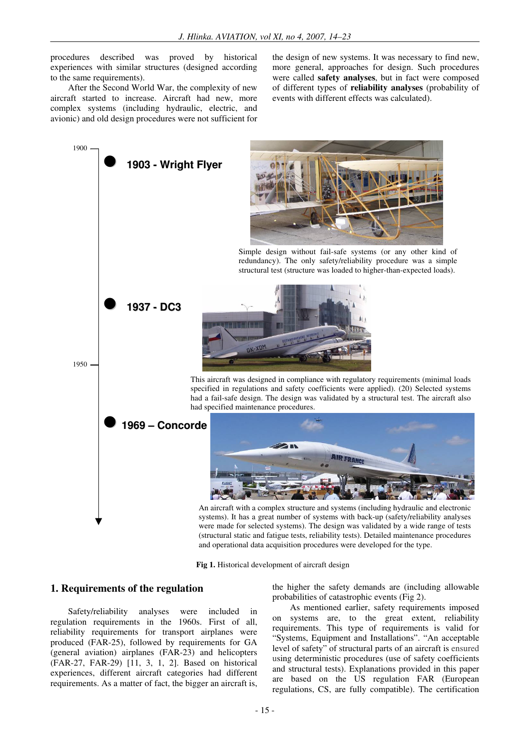procedures described was proved by historical experiences with similar structures (designed according to the same requirements).

After the Second World War, the complexity of new aircraft started to increase. Aircraft had new, more complex systems (including hydraulic, electric, and avionic) and old design procedures were not sufficient for the design of new systems. It was necessary to find new, more general, approaches for design. Such procedures were called **safety analyses**, but in fact were composed of different types of **reliability analyses** (probability of events with different effects was calculated).



**Fig 1.** Historical development of aircraft design

#### **1. Requirements of the regulation**

Safety/reliability analyses were included in regulation requirements in the 1960s. First of all, reliability requirements for transport airplanes were produced (FAR-25), followed by requirements for GA (general aviation) airplanes (FAR-23) and helicopters (FAR-27, FAR-29) [11, 3, 1, 2]. Based on historical experiences, different aircraft categories had different requirements. As a matter of fact, the bigger an aircraft is,

the higher the safety demands are (including allowable probabilities of catastrophic events (Fig 2).

As mentioned earlier, safety requirements imposed on systems are, to the great extent, reliability requirements. This type of requirements is valid for "Systems, Equipment and Installations". "An acceptable level of safety" of structural parts of an aircraft is ensured using deterministic procedures (use of safety coefficients and structural tests). Explanations provided in this paper are based on the US regulation FAR (European regulations, CS, are fully compatible). The certification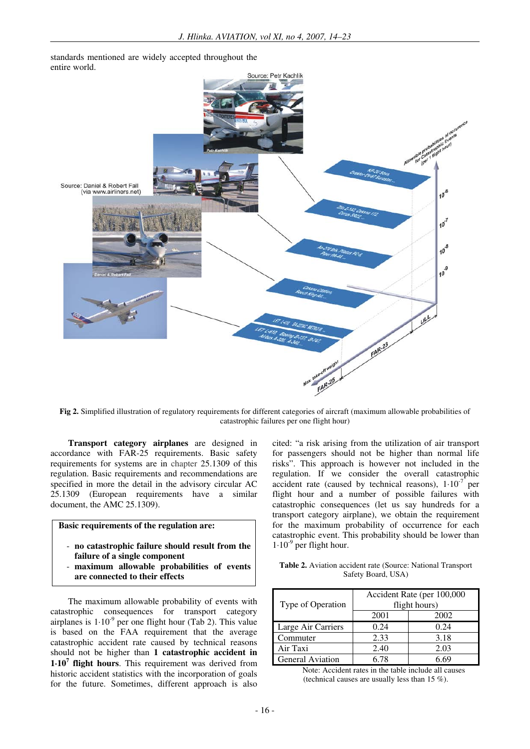standards mentioned are widely accepted throughout the entire world.



**Fig 2.** Simplified illustration of regulatory requirements for different categories of aircraft (maximum allowable probabilities of catastrophic failures per one flight hour)

**Transport category airplanes** are designed in accordance with FAR-25 requirements. Basic safety requirements for systems are in chapter 25.1309 of this regulation. Basic requirements and recommendations are specified in more the detail in the advisory circular AC 25.1309 (European requirements have a similar document, the AMC 25.1309).

## **Basic requirements of the regulation are:**

- **no catastrophic failure should result from the failure of a single component**
- **maximum allowable probabilities of events are connected to their effects**

The maximum allowable probability of events with catastrophic consequences for transport category airplanes is  $1.10<sup>-9</sup>$  per one flight hour (Tab 2). This value is based on the FAA requirement that the average catastrophic accident rate caused by technical reasons should not be higher than **1 catastrophic accident in 1**⋅**10<sup>7</sup> flight hours**. This requirement was derived from historic accident statistics with the incorporation of goals for the future. Sometimes, different approach is also

cited: "a risk arising from the utilization of air transport for passengers should not be higher than normal life risks". This approach is however not included in the regulation. If we consider the overall catastrophic accident rate (caused by technical reasons),  $1 \cdot 10^{-7}$  per flight hour and a number of possible failures with catastrophic consequences (let us say hundreds for a transport category airplane), we obtain the requirement for the maximum probability of occurrence for each catastrophic event. This probability should be lower than  $1·10<sup>-9</sup>$  per flight hour.

**Table 2.** Aviation accident rate (Source: National Transport Safety Board, USA)

| Type of Operation       | Accident Rate (per 100,000<br>flight hours) |      |  |
|-------------------------|---------------------------------------------|------|--|
|                         | 2001                                        | 2002 |  |
| Large Air Carriers      | 0.24                                        | 0.24 |  |
| Commuter                | 2.33                                        | 3.18 |  |
| Air Taxi                | 2.40                                        | 2.03 |  |
| <b>General Aviation</b> | 6 78                                        | ና 69 |  |

Note: Accident rates in the table include all causes (technical causes are usually less than 15 %).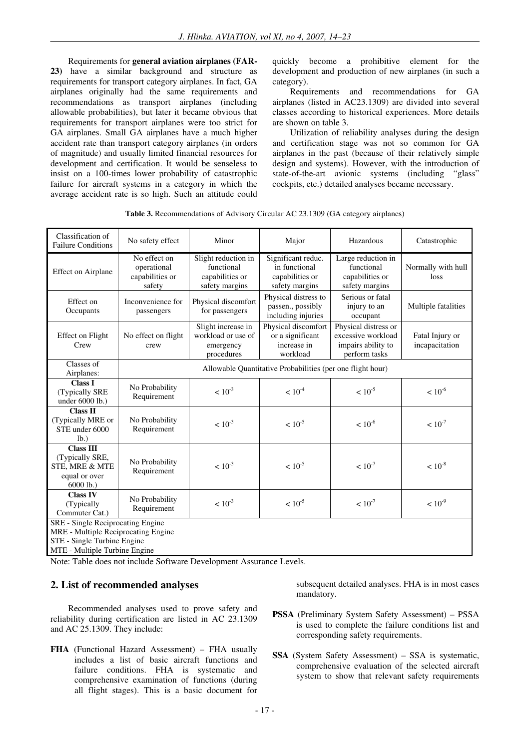Requirements for **general aviation airplanes (FAR-23)** have a similar background and structure as requirements for transport category airplanes. In fact, GA airplanes originally had the same requirements and recommendations as transport airplanes (including allowable probabilities), but later it became obvious that requirements for transport airplanes were too strict for GA airplanes. Small GA airplanes have a much higher accident rate than transport category airplanes (in orders of magnitude) and usually limited financial resources for development and certification. It would be senseless to insist on a 100-times lower probability of catastrophic failure for aircraft systems in a category in which the average accident rate is so high. Such an attitude could quickly become a prohibitive element for the development and production of new airplanes (in such a category).

Requirements and recommendations for GA airplanes (listed in AC23.1309) are divided into several classes according to historical experiences. More details are shown on table 3.

Utilization of reliability analyses during the design and certification stage was not so common for GA airplanes in the past (because of their relatively simple design and systems). However, with the introduction of state-of-the-art avionic systems (including "glass" cockpits, etc.) detailed analyses became necessary.

**Table 3.** Recommendations of Advisory Circular AC 23.1309 (GA category airplanes)

| Classification of<br><b>Failure Conditions</b>                                                                                                  | No safety effect                                           | Minor                                                               | Major                                                                    | Hazardous                                                                         | Catastrophic                      |
|-------------------------------------------------------------------------------------------------------------------------------------------------|------------------------------------------------------------|---------------------------------------------------------------------|--------------------------------------------------------------------------|-----------------------------------------------------------------------------------|-----------------------------------|
| <b>Effect on Airplane</b>                                                                                                                       | No effect on<br>operational<br>capabilities or<br>safety   |                                                                     | Significant reduc.<br>in functional<br>capabilities or<br>safety margins | Large reduction in<br>functional<br>capabilities or<br>safety margins             | Normally with hull<br>loss        |
| Effect on<br>Occupants                                                                                                                          | Inconvenience for<br>passengers                            | Physical discomfort<br>for passengers                               | Physical distress to<br>passen., possibly<br>including injuries          | Serious or fatal<br>injury to an<br>occupant                                      | Multiple fatalities               |
| <b>Effect on Flight</b><br>Crew                                                                                                                 | No effect on flight<br>crew                                | Slight increase in<br>workload or use of<br>emergency<br>procedures | Physical discomfort<br>or a significant<br>increase in<br>workload       | Physical distress or<br>excessive workload<br>impairs ability to<br>perform tasks | Fatal Injury or<br>incapacitation |
| Classes of<br>Airplanes:                                                                                                                        | Allowable Quantitative Probabilities (per one flight hour) |                                                                     |                                                                          |                                                                                   |                                   |
| <b>Class I</b><br>(Typically SRE<br>under 6000 lb.)                                                                                             | No Probability<br>Requirement                              |                                                                     | $< 10^{-4}$                                                              | $< 10^{-5}$                                                                       | $< 10^{-6}$                       |
| <b>Class II</b><br>(Typically MRE or<br>STE under 6000<br>lb.)                                                                                  | No Probability<br>Requirement                              |                                                                     | $< 10^{-5}$                                                              | $< 10^{-6}$                                                                       | $< 10^{-7}$                       |
| <b>Class III</b><br>(Typically SRE,<br>No Probability<br><b>STE, MRE &amp; MTE</b><br>Requirement<br>equal or over<br>$6000$ lb.)               |                                                            | $< 10^{-3}$                                                         | $< 10^{-5}$                                                              | $< 10^{-7}$                                                                       | $< 10^{-8}$                       |
| <b>Class IV</b><br>No Probability<br>(Typically<br>Requirement<br>Commuter Cat.)                                                                |                                                            | $< 10^{-3}$                                                         | $< 10^{-5}$                                                              | $< 10^{-7}$                                                                       | $< 10^{-9}$                       |
| <b>SRE</b> - Single Reciprocating Engine<br>MRE - Multiple Reciprocating Engine<br>STE - Single Turbine Engine<br>MTE - Multiple Turbine Engine |                                                            |                                                                     |                                                                          |                                                                                   |                                   |

Note: Table does not include Software Development Assurance Levels.

## **2. List of recommended analyses**

Recommended analyses used to prove safety and reliability during certification are listed in AC 23.1309 and AC 25.1309. They include:

**FHA** (Functional Hazard Assessment) – FHA usually includes a list of basic aircraft functions and failure conditions. FHA is systematic and comprehensive examination of functions (during all flight stages). This is a basic document for

subsequent detailed analyses. FHA is in most cases mandatory.

- **PSSA** (Preliminary System Safety Assessment) PSSA is used to complete the failure conditions list and corresponding safety requirements.
- **SSA** (System Safety Assessment) SSA is systematic, comprehensive evaluation of the selected aircraft system to show that relevant safety requirements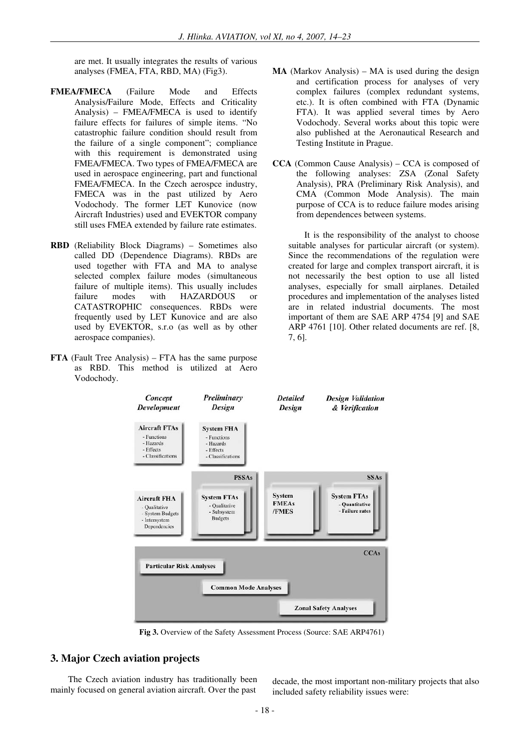are met. It usually integrates the results of various analyses (FMEA, FTA, RBD, MA) (Fig3).

- **FMEA/FMECA** (Failure Mode and Effects Analysis/Failure Mode, Effects and Criticality Analysis) – FMEA/FMECA is used to identify failure effects for failures of simple items. "No catastrophic failure condition should result from the failure of a single component"; compliance with this requirement is demonstrated using FMEA/FMECA. Two types of FMEA/FMECA are used in aerospace engineering, part and functional FMEA/FMECA. In the Czech aerospce industry, FMECA was in the past utilized by Aero Vodochody. The former LET Kunovice (now Aircraft Industries) used and EVEKTOR company still uses FMEA extended by failure rate estimates.
- **RBD** (Reliability Block Diagrams) Sometimes also called DD (Dependence Diagrams). RBDs are used together with FTA and MA to analyse selected complex failure modes (simultaneous failure of multiple items). This usually includes failure modes with HAZARDOUS or CATASTROPHIC consequences. RBDs were frequently used by LET Kunovice and are also used by EVEKTOR, s.r.o (as well as by other aerospace companies).
- **FTA** (Fault Tree Analysis) FTA has the same purpose as RBD. This method is utilized at Aero Vodochody.
- **MA** (Markov Analysis) MA is used during the design and certification process for analyses of very complex failures (complex redundant systems, etc.). It is often combined with FTA (Dynamic FTA). It was applied several times by Aero Vodochody. Several works about this topic were also published at the Aeronautical Research and Testing Institute in Prague.
- **CCA** (Common Cause Analysis) CCA is composed of the following analyses: ZSA (Zonal Safety Analysis), PRA (Preliminary Risk Analysis), and CMA (Common Mode Analysis). The main purpose of CCA is to reduce failure modes arising from dependences between systems.

It is the responsibility of the analyst to choose suitable analyses for particular aircraft (or system). Since the recommendations of the regulation were created for large and complex transport aircraft, it is not necessarily the best option to use all listed analyses, especially for small airplanes. Detailed procedures and implementation of the analyses listed are in related industrial documents. The most important of them are SAE ARP 4754 [9] and SAE ARP 4761 [10]. Other related documents are ref. [8, 7, 6].



**Fig 3.** Overview of the Safety Assessment Process (Source: SAE ARP4761)

## **3. Major Czech aviation projects**

The Czech aviation industry has traditionally been mainly focused on general aviation aircraft. Over the past

decade, the most important non-military projects that also included safety reliability issues were: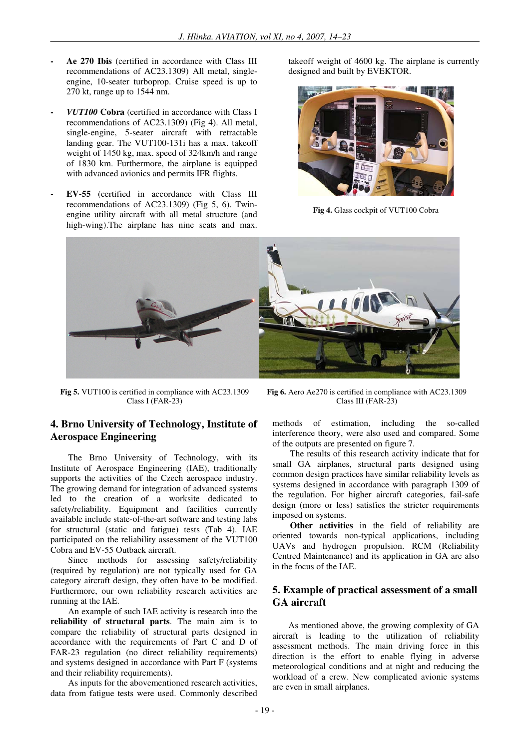- **Ae 270 Ibis** (certified in accordance with Class III recommendations of AC23.1309) All metal, singleengine, 10-seater turboprop. Cruise speed is up to 270 kt, range up to 1544 nm.
- *VUT100* **Cobra** (certified in accordance with Class I recommendations of AC23.1309) (Fig 4). All metal, single-engine, 5-seater aircraft with retractable landing gear. The VUT100-131i has a max. takeoff weight of 1450 kg, max. speed of 324km/h and range of 1830 km. Furthermore, the airplane is equipped with advanced avionics and permits IFR flights.
- **EV-55** (certified in accordance with Class III recommendations of AC23.1309) (Fig 5, 6). Twinengine utility aircraft with all metal structure (and high-wing).The airplane has nine seats and max.

takeoff weight of 4600 kg. The airplane is currently designed and built by EVEKTOR.



**Fig 4.** Glass cockpit of VUT100 Cobra



**Fig 5.** VUT100 is certified in compliance with AC23.1309 Class I (FAR-23)

# **4. Brno University of Technology, Institute of Aerospace Engineering**

The Brno University of Technology, with its Institute of Aerospace Engineering (IAE), traditionally supports the activities of the Czech aerospace industry. The growing demand for integration of advanced systems led to the creation of a worksite dedicated to safety/reliability. Equipment and facilities currently available include state-of-the-art software and testing labs for structural (static and fatigue) tests (Tab 4). IAE participated on the reliability assessment of the VUT100 Cobra and EV-55 Outback aircraft.

Since methods for assessing safety/reliability (required by regulation) are not typically used for GA category aircraft design, they often have to be modified. Furthermore, our own reliability research activities are running at the IAE.

An example of such IAE activity is research into the **reliability of structural parts**. The main aim is to compare the reliability of structural parts designed in accordance with the requirements of Part C and D of FAR-23 regulation (no direct reliability requirements) and systems designed in accordance with Part F (systems and their reliability requirements).

As inputs for the abovementioned research activities, data from fatigue tests were used. Commonly described

**Fig 6.** Aero Ae270 is certified in compliance with AC23.1309 Class III (FAR-23)

methods of estimation, including the so-called interference theory, were also used and compared. Some of the outputs are presented on figure 7.

The results of this research activity indicate that for small GA airplanes, structural parts designed using common design practices have similar reliability levels as systems designed in accordance with paragraph 1309 of the regulation. For higher aircraft categories, fail-safe design (more or less) satisfies the stricter requirements imposed on systems.

**Other activities** in the field of reliability are oriented towards non-typical applications, including UAVs and hydrogen propulsion. RCM (Reliability Centred Maintenance) and its application in GA are also in the focus of the IAE.

#### **5. Example of practical assessment of a small GA aircraft**

As mentioned above, the growing complexity of GA aircraft is leading to the utilization of reliability assessment methods. The main driving force in this direction is the effort to enable flying in adverse meteorological conditions and at night and reducing the workload of a crew. New complicated avionic systems are even in small airplanes.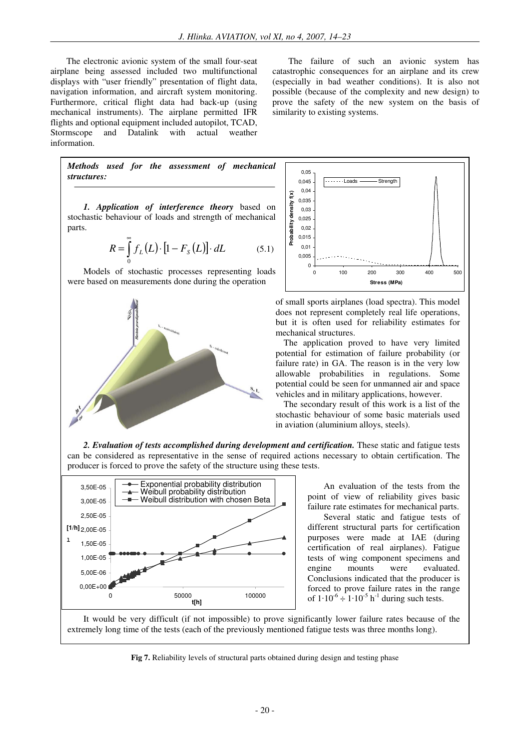The electronic avionic system of the small four-seat airplane being assessed included two multifunctional displays with "user friendly" presentation of flight data, navigation information, and aircraft system monitoring. Furthermore, critical flight data had back-up (using mechanical instruments). The airplane permitted IFR flights and optional equipment included autopilot, TCAD,<br>Stormscope and Datalink with actual weather Stormscope and Datalink with actual weather information.

The failure of such an avionic system has catastrophic consequences for an airplane and its crew (especially in bad weather conditions). It is also not possible (because of the complexity and new design) to prove the safety of the new system on the basis of similarity to existing systems.



*1. Application of interference theory* based on stochastic behaviour of loads and strength of mechanical parts.

$$
R = \int_{0}^{\infty} f_L(L) \cdot [1 - F_s(L)] \cdot dL \tag{5.1}
$$

Models of stochastic processes representing loads were based on measurements done during the operation





of small sports airplanes (load spectra). This model does not represent completely real life operations, but it is often used for reliability estimates for mechanical structures.

The application proved to have very limited potential for estimation of failure probability (or failure rate) in GA. The reason is in the very low allowable probabilities in regulations. Some potential could be seen for unmanned air and space vehicles and in military applications, however.

The secondary result of this work is a list of the stochastic behaviour of some basic materials used in aviation (aluminium alloys, steels).





An evaluation of the tests from the point of view of reliability gives basic failure rate estimates for mechanical parts. Several static and fatigue tests of different structural parts for certification purposes were made at IAE (during certification of real airplanes). Fatigue tests of wing component specimens and<br>engine mounts were evaluated. engine mounts were evaluated. Conclusions indicated that the producer is forced to prove failure rates in the range of  $1.10^{-6} \div 1.10^{-5}$  h<sup>-1</sup> during such tests.

It would be very difficult (if not impossible) to prove significantly lower failure rates because of the extremely long time of the tests (each of the previously mentioned fatigue tests was three months long).

**Fig 7.** Reliability levels of structural parts obtained during design and testing phase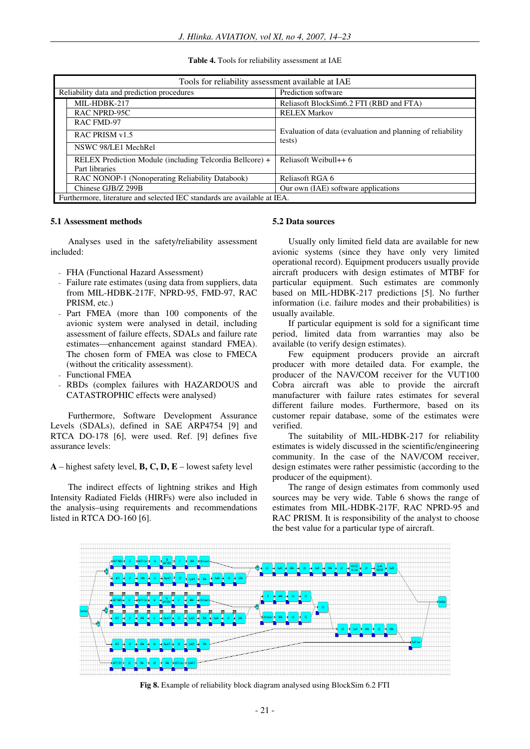| Tools for reliability assessment available at IAE                        |                                                                      |  |  |
|--------------------------------------------------------------------------|----------------------------------------------------------------------|--|--|
| Reliability data and prediction procedures                               | Prediction software                                                  |  |  |
| MIL-HDBK-217                                                             | Reliasoft BlockSim6.2 FTI (RBD and FTA)                              |  |  |
| <b>RAC NPRD-95C</b>                                                      | <b>RELEX Markov</b>                                                  |  |  |
| RAC FMD-97                                                               |                                                                      |  |  |
| RAC PRISM v1.5                                                           | Evaluation of data (evaluation and planning of reliability<br>tests) |  |  |
| NSWC 98/LE1 MechRel                                                      |                                                                      |  |  |
| RELEX Prediction Module (including Telcordia Bellcore) +                 | Reliasoft Weibull $++6$                                              |  |  |
| Part libraries                                                           |                                                                      |  |  |
| RAC NONOP-1 (Nonoperating Reliability Databook)                          | Reliasoft RGA 6                                                      |  |  |
| Chinese GJB/Z 299B                                                       | Our own (IAE) software applications                                  |  |  |
| Furthermore, literature and selected IEC standards are available at IEA. |                                                                      |  |  |

**Table 4.** Tools for reliability assessment at IAE

#### **5.1 Assessment methods**

Analyses used in the safety/reliability assessment included:

- FHA (Functional Hazard Assessment)
- Failure rate estimates (using data from suppliers, data from MIL-HDBK-217F, NPRD-95, FMD-97, RAC PRISM, etc.)
- Part FMEA (more than 100 components of the avionic system were analysed in detail, including assessment of failure effects, SDALs and failure rate estimates—enhancement against standard FMEA). The chosen form of FMEA was close to FMECA (without the criticality assessment).
- Functional FMEA
- RBDs (complex failures with HAZARDOUS and CATASTROPHIC effects were analysed)

Furthermore, Software Development Assurance Levels (SDALs), defined in SAE ARP4754 [9] and RTCA DO-178 [6], were used. Ref. [9] defines five assurance levels:

**A** – highest safety level, **B, C, D, E** – lowest safety level

The indirect effects of lightning strikes and High Intensity Radiated Fields (HIRFs) were also included in the analysis–using requirements and recommendations listed in RTCA DO-160 [6].

#### **5.2 Data sources**

Usually only limited field data are available for new avionic systems (since they have only very limited operational record). Equipment producers usually provide aircraft producers with design estimates of MTBF for particular equipment. Such estimates are commonly based on MIL-HDBK-217 predictions [5]. No further information (i.e. failure modes and their probabilities) is usually available.

If particular equipment is sold for a significant time period, limited data from warranties may also be available (to verify design estimates).

Few equipment producers provide an aircraft producer with more detailed data. For example, the producer of the NAV/COM receiver for the VUT100 Cobra aircraft was able to provide the aircraft manufacturer with failure rates estimates for several different failure modes. Furthermore, based on its customer repair database, some of the estimates were verified.

The suitability of MIL-HDBK-217 for reliability estimates is widely discussed in the scientific/engineering community. In the case of the NAV/COM receiver, design estimates were rather pessimistic (according to the producer of the equipment).

The range of design estimates from commonly used sources may be very wide. Table 6 shows the range of estimates from MIL-HDBK-217F, RAC NPRD-95 and RAC PRISM. It is responsibility of the analyst to choose the best value for a particular type of aircraft.



**Fig 8.** Example of reliability block diagram analysed using BlockSim 6.2 FTI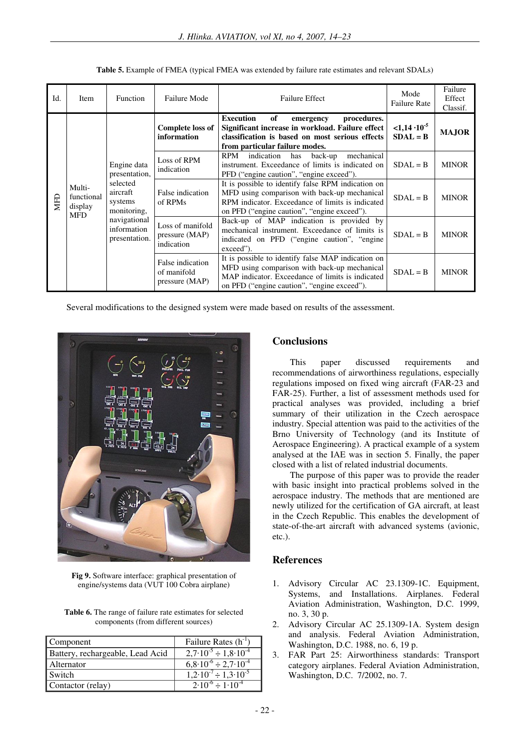| Id.        | <b>Item</b>                                   | <b>Function</b>                                                                                                                                                       | Failure Mode                                      | <b>Failure Effect</b>                                                                                                                                                                                 | Mode<br><b>Failure Rate</b>       | Failure<br>Effect<br>Classif. |
|------------|-----------------------------------------------|-----------------------------------------------------------------------------------------------------------------------------------------------------------------------|---------------------------------------------------|-------------------------------------------------------------------------------------------------------------------------------------------------------------------------------------------------------|-----------------------------------|-------------------------------|
| <b>NHD</b> | Multi-<br>functional<br>display<br><b>MFD</b> | Engine data<br>indication<br>presentation,<br>selected<br>aircraft<br>systems<br>of RPMs<br>monitoring,<br>navigational<br>information<br>presentation.<br>indication | <b>Complete loss of</b><br>information            | of<br><b>Execution</b><br>procedures.<br>emergency<br>Significant increase in workload. Failure effect<br>classification is based on most serious effects<br>from particular failure modes.           | $<1,14\cdot10^{-5}$<br>$SDAL = B$ | <b>MAJOR</b>                  |
|            |                                               |                                                                                                                                                                       | Loss of RPM                                       | RPM<br>indication<br>has<br>mechanical<br>back-up<br>instrument. Exceedance of limits is indicated on<br>PFD ("engine caution", "engine exceed").                                                     | $SDAL = B$                        | <b>MINOR</b>                  |
|            |                                               |                                                                                                                                                                       | False indication                                  | It is possible to identify false RPM indication on<br>MFD using comparison with back-up mechanical<br>RPM indicator. Exceedance of limits is indicated<br>on PFD ("engine caution", "engine exceed"). | $SDAL = B$                        | <b>MINOR</b>                  |
|            |                                               |                                                                                                                                                                       | Loss of manifold<br>pressure (MAP)                | Back-up of MAP indication is provided by<br>mechanical instrument. Exceedance of limits is<br>indicated on PFD ("engine caution", "engine"<br>exceed").                                               | $SDAL = B$                        | <b>MINOR</b>                  |
|            |                                               |                                                                                                                                                                       | False indication<br>of manifold<br>pressure (MAP) | It is possible to identify false MAP indication on<br>MFD using comparison with back-up mechanical<br>MAP indicator. Exceedance of limits is indicated<br>on PFD ("engine caution", "engine exceed"). | $SDAL = B$                        | <b>MINOR</b>                  |

**Table 5.** Example of FMEA (typical FMEA was extended by failure rate estimates and relevant SDALs)

Several modifications to the designed system were made based on results of the assessment.



**Fig 9.** Software interface: graphical presentation of engine/systems data (VUT 100 Cobra airplane)

**Table 6.** The range of failure rate estimates for selected components (from different sources)

| <b>Component</b>                 | Failure Rates $(h^{-1})$                   |
|----------------------------------|--------------------------------------------|
| Battery, rechargeable, Lead Acid | $2,7.10^{-5} \div 1,8.10^{-4}$             |
| Alternator                       | $6.8 \cdot 10^{-6} \div 2.7 \cdot 10^{-4}$ |
| <b>Switch</b>                    | $1,2.10^{-7} \div 1,3.10^{-5}$             |
| Contactor (relay)                | $2.10^{-6} \div 1.10^{-4}$                 |

# **Conclusions**

This paper discussed requirements and recommendations of airworthiness regulations, especially regulations imposed on fixed wing aircraft (FAR-23 and FAR-25). Further, a list of assessment methods used for practical analyses was provided, including a brief summary of their utilization in the Czech aerospace industry. Special attention was paid to the activities of the Brno University of Technology (and its Institute of Aerospace Engineering). A practical example of a system analysed at the IAE was in section 5. Finally, the paper closed with a list of related industrial documents.

The purpose of this paper was to provide the reader with basic insight into practical problems solved in the aerospace industry. The methods that are mentioned are newly utilized for the certification of GA aircraft, at least in the Czech Republic. This enables the development of state-of-the-art aircraft with advanced systems (avionic, etc.).

## **References**

- 1. Advisory Circular AC 23.1309-1C. Equipment, Systems, and Installations. Airplanes. Federal Aviation Administration, Washington, D.C. 1999, no. 3, 30 p.
- 2. Advisory Circular AC 25.1309-1A. System design and analysis. Federal Aviation Administration, Washington, D.C. 1988, no. 6, 19 p.
- 3. FAR Part 25: Airworthiness standards: Transport category airplanes. Federal Aviation Administration, Washington, D.C. 7/2002, no. 7.